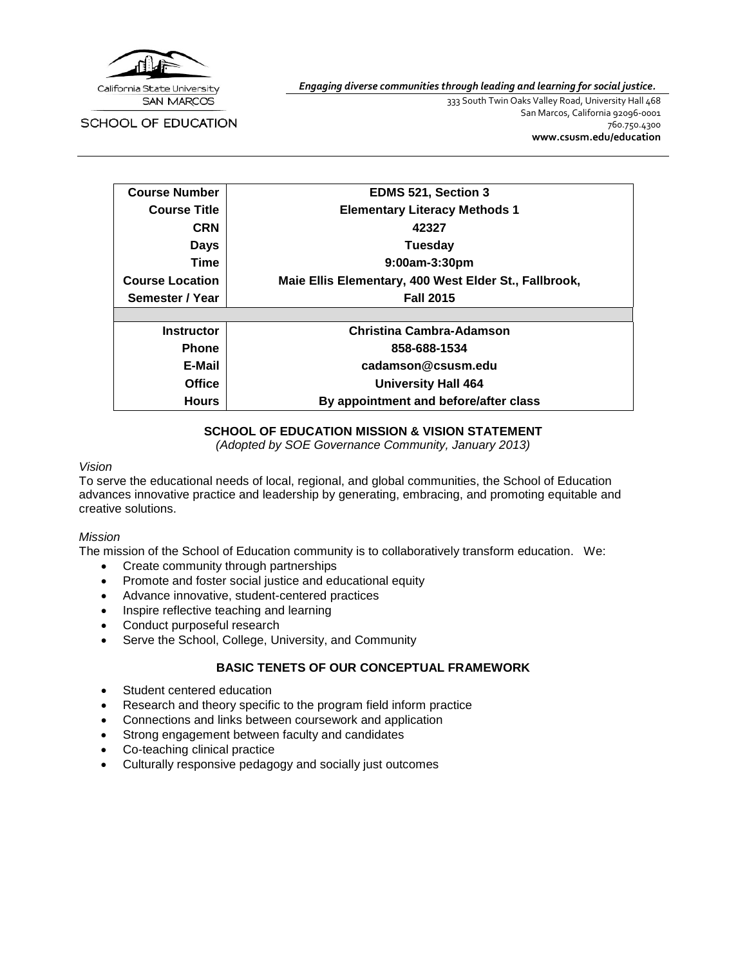

SCHOOL OF EDUCATION

*Engaging diverse communities through leading and learning for social justice.*

333 South Twin Oaks Valley Road, University Hall 468 San Marcos, California 92096-0001 760.750.4300 **[www.csusm.edu/education](http://www.csusm.edu/education)**

| <b>Course Number</b>   | EDMS 521, Section 3                                   |
|------------------------|-------------------------------------------------------|
| <b>Course Title</b>    | <b>Elementary Literacy Methods 1</b>                  |
| <b>CRN</b>             | 42327                                                 |
| Days                   | Tuesday                                               |
| Time                   | 9:00am-3:30pm                                         |
| <b>Course Location</b> | Maie Ellis Elementary, 400 West Elder St., Fallbrook, |
| Semester / Year        | <b>Fall 2015</b>                                      |
|                        |                                                       |
| <b>Instructor</b>      | <b>Christina Cambra-Adamson</b>                       |
| <b>Phone</b>           | 858-688-1534                                          |
| E-Mail                 | cadamson@csusm.edu                                    |
| <b>Office</b>          | <b>University Hall 464</b>                            |
| <b>Hours</b>           | By appointment and before/after class                 |

# **SCHOOL OF EDUCATION MISSION & VISION STATEMENT**

*(Adopted by SOE Governance Community, January 2013)*

#### *Vision*

To serve the educational needs of local, regional, and global communities, the School of Education advances innovative practice and leadership by generating, embracing, and promoting equitable and creative solutions.

#### *Mission*

The mission of the School of Education community is to collaboratively transform education. We:

- Create community through partnerships
- Promote and foster social justice and educational equity
- Advance innovative, student-centered practices
- Inspire reflective teaching and learning
- Conduct purposeful research
- Serve the School, College, University, and Community

# **BASIC TENETS OF OUR CONCEPTUAL FRAMEWORK**

- Student centered education
- Research and theory specific to the program field inform practice
- Connections and links between coursework and application
- Strong engagement between faculty and candidates
- Co-teaching clinical practice
- Culturally responsive pedagogy and socially just outcomes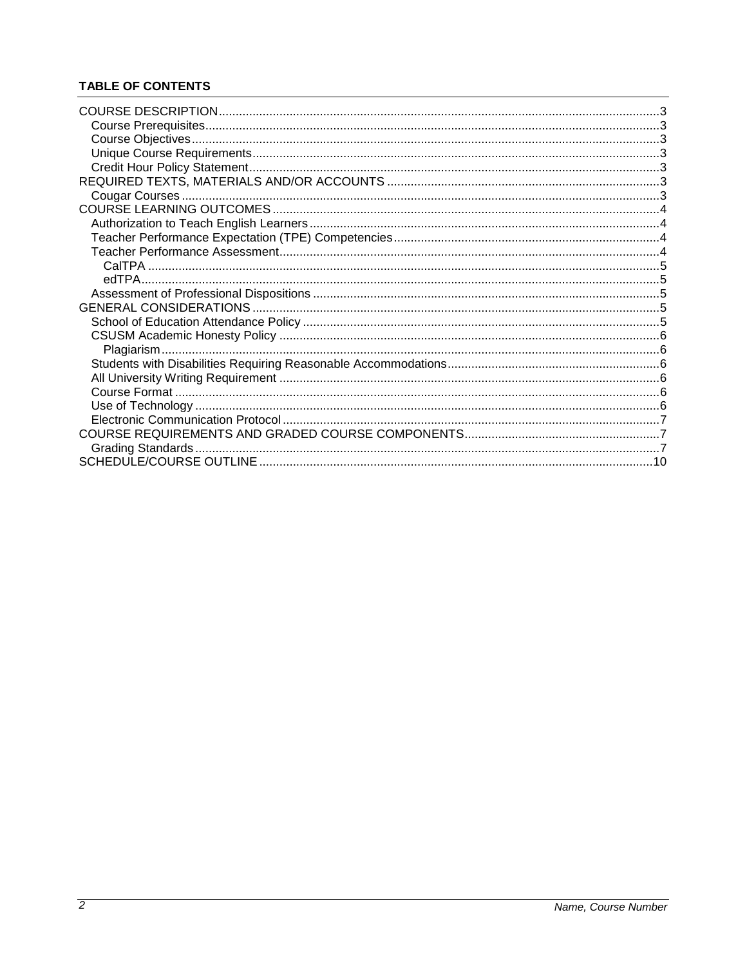# **TABLE OF CONTENTS**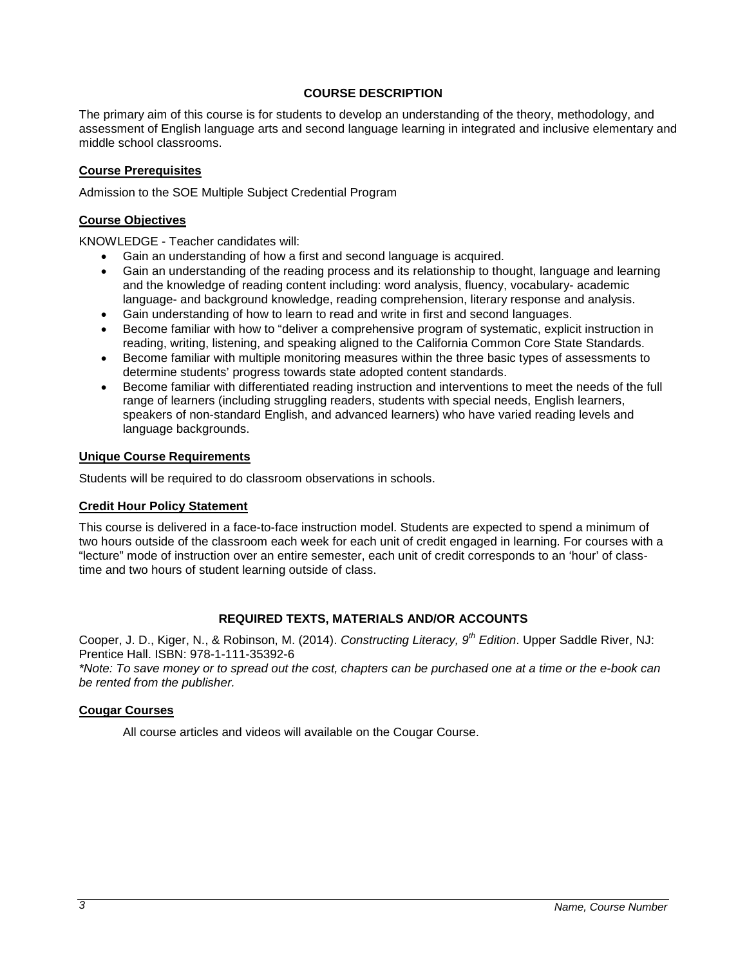## **COURSE DESCRIPTION**

<span id="page-2-0"></span>The primary aim of this course is for students to develop an understanding of the theory, methodology, and assessment of English language arts and second language learning in integrated and inclusive elementary and middle school classrooms.

#### <span id="page-2-1"></span>**Course Prerequisites**

Admission to the SOE Multiple Subject Credential Program

#### <span id="page-2-2"></span>**Course Objectives**

KNOWLEDGE - Teacher candidates will:

- Gain an understanding of how a first and second language is acquired.
- Gain an understanding of the reading process and its relationship to thought, language and learning and the knowledge of reading content including: word analysis, fluency, vocabulary- academic language- and background knowledge, reading comprehension, literary response and analysis.
- Gain understanding of how to learn to read and write in first and second languages.
- Become familiar with how to "deliver a comprehensive program of systematic, explicit instruction in reading, writing, listening, and speaking aligned to the California Common Core State Standards.
- Become familiar with multiple monitoring measures within the three basic types of assessments to determine students' progress towards state adopted content standards.
- Become familiar with differentiated reading instruction and interventions to meet the needs of the full range of learners (including struggling readers, students with special needs, English learners, speakers of non-standard English, and advanced learners) who have varied reading levels and language backgrounds.

#### <span id="page-2-3"></span>**Unique Course Requirements**

Students will be required to do classroom observations in schools.

## <span id="page-2-4"></span>**Credit Hour Policy Statement**

This course is delivered in a face-to-face instruction model. Students are expected to spend a minimum of two hours outside of the classroom each week for each unit of credit engaged in learning. For courses with a "lecture" mode of instruction over an entire semester, each unit of credit corresponds to an 'hour' of classtime and two hours of student learning outside of class.

## **REQUIRED TEXTS, MATERIALS AND/OR ACCOUNTS**

<span id="page-2-5"></span>Cooper, J. D., Kiger, N., & Robinson, M. (2014). *Constructing Literacy, 9th Edition*. Upper Saddle River, NJ: Prentice Hall. ISBN: 978-1-111-35392-6

*\*Note: To save money or to spread out the cost, chapters can be purchased one at a time or the e-book can be rented from the publisher.*

#### <span id="page-2-6"></span>**Cougar Courses**

All course articles and videos will available on the Cougar Course.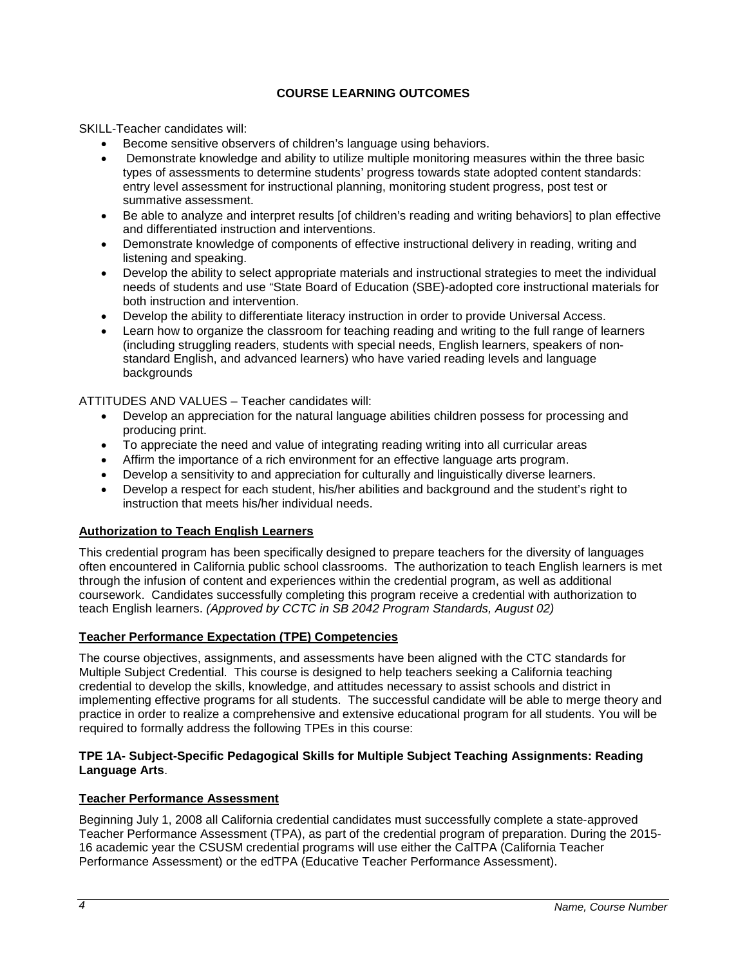# **COURSE LEARNING OUTCOMES**

<span id="page-3-0"></span>SKILL-Teacher candidates will:

- Become sensitive observers of children's language using behaviors.
- Demonstrate knowledge and ability to utilize multiple monitoring measures within the three basic types of assessments to determine students' progress towards state adopted content standards: entry level assessment for instructional planning, monitoring student progress, post test or summative assessment.
- Be able to analyze and interpret results [of children's reading and writing behaviors] to plan effective and differentiated instruction and interventions.
- Demonstrate knowledge of components of effective instructional delivery in reading, writing and listening and speaking.
- Develop the ability to select appropriate materials and instructional strategies to meet the individual needs of students and use "State Board of Education (SBE)-adopted core instructional materials for both instruction and intervention.
- Develop the ability to differentiate literacy instruction in order to provide Universal Access.
- Learn how to organize the classroom for teaching reading and writing to the full range of learners (including struggling readers, students with special needs, English learners, speakers of nonstandard English, and advanced learners) who have varied reading levels and language backgrounds

ATTITUDES AND VALUES – Teacher candidates will:

- Develop an appreciation for the natural language abilities children possess for processing and producing print.
- To appreciate the need and value of integrating reading writing into all curricular areas
- Affirm the importance of a rich environment for an effective language arts program.
- Develop a sensitivity to and appreciation for culturally and linguistically diverse learners.
- Develop a respect for each student, his/her abilities and background and the student's right to instruction that meets his/her individual needs.

## <span id="page-3-1"></span>**Authorization to Teach English Learners**

This credential program has been specifically designed to prepare teachers for the diversity of languages often encountered in California public school classrooms. The authorization to teach English learners is met through the infusion of content and experiences within the credential program, as well as additional coursework. Candidates successfully completing this program receive a credential with authorization to teach English learners. *(Approved by CCTC in SB 2042 Program Standards, August 02)*

## <span id="page-3-2"></span>**Teacher Performance Expectation (TPE) Competencies**

The course objectives, assignments, and assessments have been aligned with the CTC standards for Multiple Subject Credential. This course is designed to help teachers seeking a California teaching credential to develop the skills, knowledge, and attitudes necessary to assist schools and district in implementing effective programs for all students. The successful candidate will be able to merge theory and practice in order to realize a comprehensive and extensive educational program for all students. You will be required to formally address the following TPEs in this course:

#### **TPE 1A- Subject-Specific Pedagogical Skills for Multiple Subject Teaching Assignments: Reading Language Arts**.

## <span id="page-3-3"></span>**Teacher Performance Assessment**

Beginning July 1, 2008 all California credential candidates must successfully complete a state-approved Teacher Performance Assessment (TPA), as part of the credential program of preparation. During the 2015- 16 academic year the CSUSM credential programs will use either the CalTPA (California Teacher Performance Assessment) or the edTPA (Educative Teacher Performance Assessment).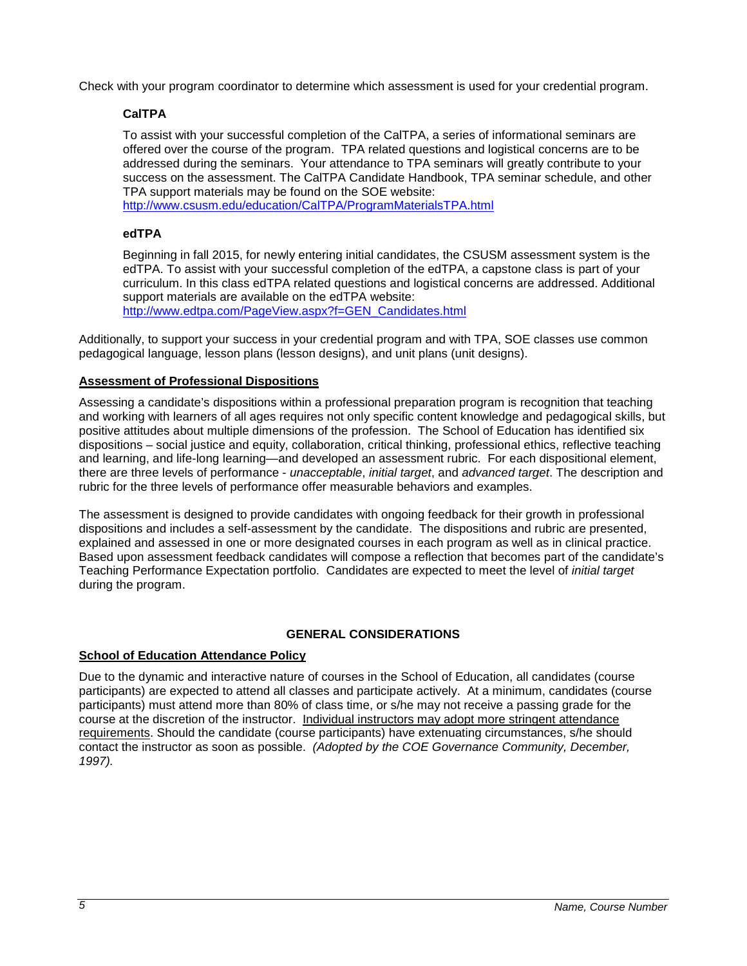<span id="page-4-0"></span>Check with your program coordinator to determine which assessment is used for your credential program.

# **CalTPA**

To assist with your successful completion of the CalTPA, a series of informational seminars are offered over the course of the program. TPA related questions and logistical concerns are to be addressed during the seminars. Your attendance to TPA seminars will greatly contribute to your success on the assessment. The CalTPA Candidate Handbook, TPA seminar schedule, and other TPA support materials may be found on the SOE website:

<http://www.csusm.edu/education/CalTPA/ProgramMaterialsTPA.html>

# <span id="page-4-1"></span>**edTPA**

Beginning in fall 2015, for newly entering initial candidates, the CSUSM assessment system is the edTPA. To assist with your successful completion of the edTPA, a capstone class is part of your curriculum. In this class edTPA related questions and logistical concerns are addressed. Additional support materials are available on the edTPA website:

[http://www.edtpa.com/PageView.aspx?f=GEN\\_Candidates.html](http://www.edtpa.com/PageView.aspx?f=GEN_Candidates.html)

Additionally, to support your success in your credential program and with TPA, SOE classes use common pedagogical language, lesson plans (lesson designs), and unit plans (unit designs).

## <span id="page-4-2"></span>**Assessment of Professional Dispositions**

Assessing a candidate's dispositions within a professional preparation program is recognition that teaching and working with learners of all ages requires not only specific content knowledge and pedagogical skills, but positive attitudes about multiple dimensions of the profession. The School of Education has identified six dispositions – social justice and equity, collaboration, critical thinking, professional ethics, reflective teaching and learning, and life-long learning—and developed an assessment rubric. For each dispositional element, there are three levels of performance - *unacceptable*, *initial target*, and *advanced target*. The description and rubric for the three levels of performance offer measurable behaviors and examples.

The assessment is designed to provide candidates with ongoing feedback for their growth in professional dispositions and includes a self-assessment by the candidate. The dispositions and rubric are presented, explained and assessed in one or more designated courses in each program as well as in clinical practice. Based upon assessment feedback candidates will compose a reflection that becomes part of the candidate's Teaching Performance Expectation portfolio. Candidates are expected to meet the level of *initial target* during the program.

## **GENERAL CONSIDERATIONS**

## <span id="page-4-4"></span><span id="page-4-3"></span>**School of Education Attendance Policy**

Due to the dynamic and interactive nature of courses in the School of Education, all candidates (course participants) are expected to attend all classes and participate actively. At a minimum, candidates (course participants) must attend more than 80% of class time, or s/he may not receive a passing grade for the course at the discretion of the instructor. Individual instructors may adopt more stringent attendance requirements. Should the candidate (course participants) have extenuating circumstances, s/he should contact the instructor as soon as possible. *(Adopted by the COE Governance Community, December, 1997).*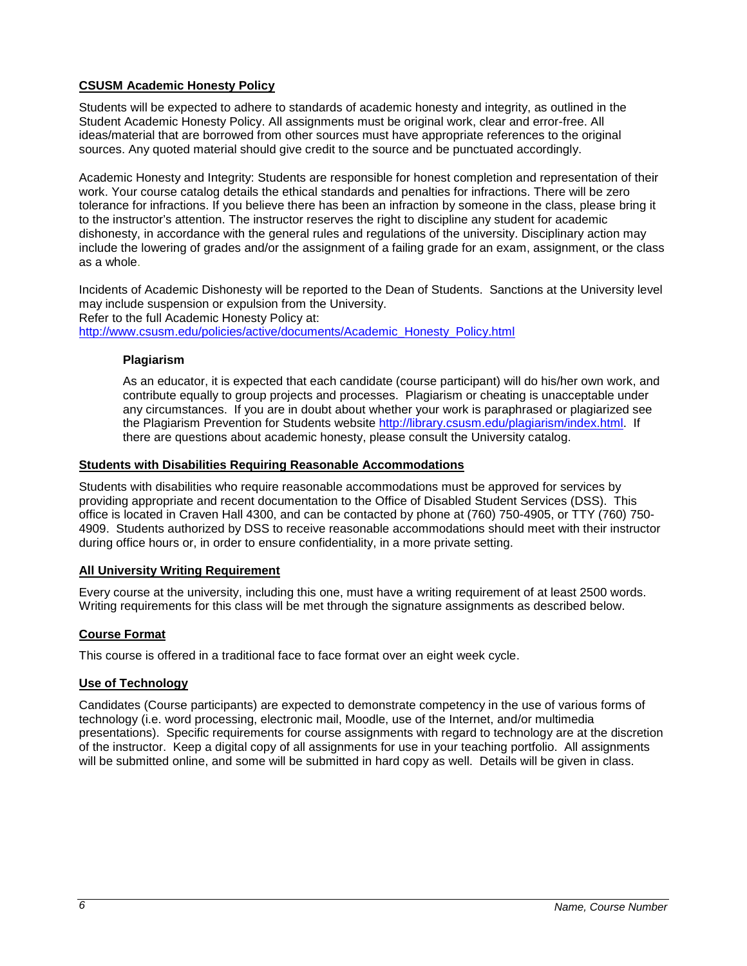# <span id="page-5-0"></span>**CSUSM Academic Honesty Policy**

Students will be expected to adhere to standards of academic honesty and integrity, as outlined in the Student Academic Honesty Policy. All assignments must be original work, clear and error-free. All ideas/material that are borrowed from other sources must have appropriate references to the original sources. Any quoted material should give credit to the source and be punctuated accordingly.

Academic Honesty and Integrity: Students are responsible for honest completion and representation of their work. Your course catalog details the ethical standards and penalties for infractions. There will be zero tolerance for infractions. If you believe there has been an infraction by someone in the class, please bring it to the instructor's attention. The instructor reserves the right to discipline any student for academic dishonesty, in accordance with the general rules and regulations of the university. Disciplinary action may include the lowering of grades and/or the assignment of a failing grade for an exam, assignment, or the class as a whole.

Incidents of Academic Dishonesty will be reported to the Dean of Students. Sanctions at the University level may include suspension or expulsion from the University. Refer to the full Academic Honesty Policy at: [http://www.csusm.edu/policies/active/documents/Academic\\_Honesty\\_Policy.html](http://www.csusm.edu/policies/active/documents/Academic_Honesty_Policy.html)

## <span id="page-5-1"></span>**Plagiarism**

As an educator, it is expected that each candidate (course participant) will do his/her own work, and contribute equally to group projects and processes. Plagiarism or cheating is unacceptable under any circumstances. If you are in doubt about whether your work is paraphrased or plagiarized see the Plagiarism Prevention for Students website [http://library.csusm.edu/plagiarism/index.html.](http://library.csusm.edu/plagiarism/index.html) If there are questions about academic honesty, please consult the University catalog.

#### <span id="page-5-2"></span>**Students with Disabilities Requiring Reasonable Accommodations**

Students with disabilities who require reasonable accommodations must be approved for services by providing appropriate and recent documentation to the Office of Disabled Student Services (DSS). This office is located in Craven Hall 4300, and can be contacted by phone at (760) 750-4905, or TTY (760) 750- 4909. Students authorized by DSS to receive reasonable accommodations should meet with their instructor during office hours or, in order to ensure confidentiality, in a more private setting.

## <span id="page-5-3"></span>**All University Writing Requirement**

Every course at the university, including this one, must have a writing requirement of at least 2500 words. Writing requirements for this class will be met through the signature assignments as described below.

## <span id="page-5-4"></span>**Course Format**

This course is offered in a traditional face to face format over an eight week cycle.

#### <span id="page-5-5"></span>**Use of Technology**

Candidates (Course participants) are expected to demonstrate competency in the use of various forms of technology (i.e. word processing, electronic mail, Moodle, use of the Internet, and/or multimedia presentations). Specific requirements for course assignments with regard to technology are at the discretion of the instructor. Keep a digital copy of all assignments for use in your teaching portfolio. All assignments will be submitted online, and some will be submitted in hard copy as well. Details will be given in class.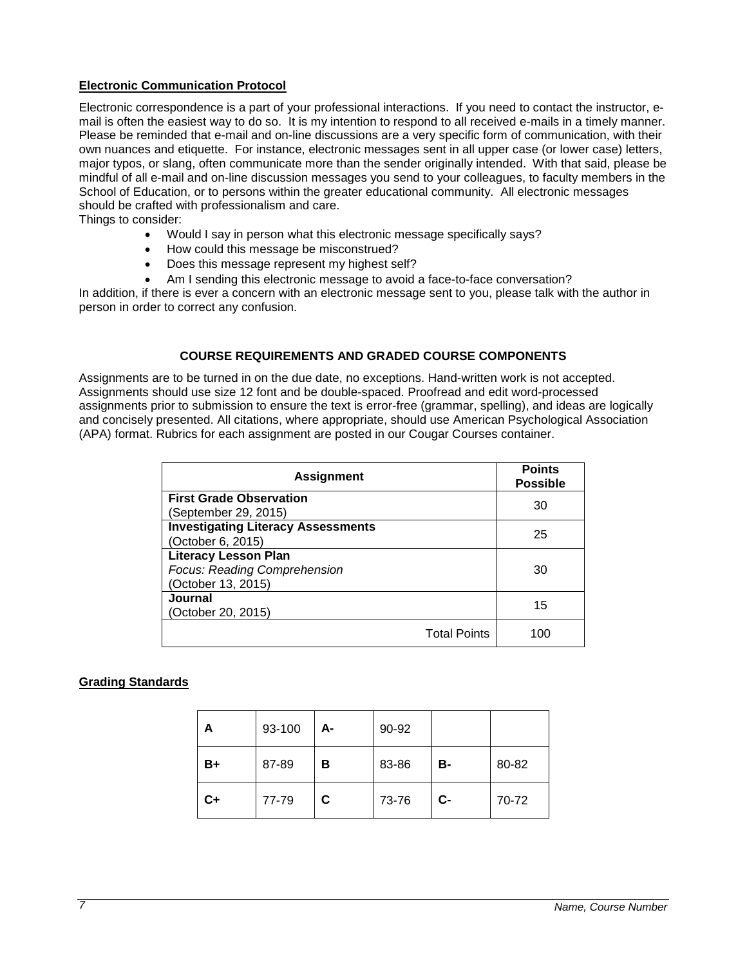## <span id="page-6-0"></span>**Electronic Communication Protocol**

Electronic correspondence is a part of your professional interactions. If you need to contact the instructor, email is often the easiest way to do so. It is my intention to respond to all received e-mails in a timely manner. Please be reminded that e-mail and on-line discussions are a very specific form of communication, with their own nuances and etiquette. For instance, electronic messages sent in all upper case (or lower case) letters, major typos, or slang, often communicate more than the sender originally intended. With that said, please be mindful of all e-mail and on-line discussion messages you send to your colleagues, to faculty members in the School of Education, or to persons within the greater educational community. All electronic messages should be crafted with professionalism and care.

Things to consider:

- Would I say in person what this electronic message specifically says?
- How could this message be misconstrued?
- Does this message represent my highest self?
- Am I sending this electronic message to avoid a face-to-face conversation?

In addition, if there is ever a concern with an electronic message sent to you, please talk with the author in person in order to correct any confusion.

#### **COURSE REQUIREMENTS AND GRADED COURSE COMPONENTS**

<span id="page-6-1"></span>Assignments are to be turned in on the due date, no exceptions. Hand-written work is not accepted. Assignments should use size 12 font and be double-spaced. Proofread and edit word-processed assignments prior to submission to ensure the text is error-free (grammar, spelling), and ideas are logically and concisely presented. All citations, where appropriate, should use American Psychological Association (APA) format. Rubrics for each assignment are posted in our Cougar Courses container.

| <b>Assignment</b>                                                 | <b>Points</b><br><b>Possible</b> |
|-------------------------------------------------------------------|----------------------------------|
| <b>First Grade Observation</b>                                    | 30                               |
| (September 29, 2015)<br><b>Investigating Literacy Assessments</b> |                                  |
| (October 6, 2015)                                                 | 25                               |
| <b>Literacy Lesson Plan</b>                                       |                                  |
| Focus: Reading Comprehension                                      | 30                               |
| (October 13, 2015)                                                |                                  |
| Journal                                                           | 15                               |
| (October 20, 2015)                                                |                                  |
| <b>Total Points</b>                                               | 100                              |

## <span id="page-6-2"></span>**Grading Standards**

| А       | 93-100 | А- | 90-92 |           |       |
|---------|--------|----|-------|-----------|-------|
| B+      | 87-89  | в  | 83-86 | <b>B-</b> | 80-82 |
| $c_{+}$ | 77-79  | C. | 73-76 | $c-$      | 70-72 |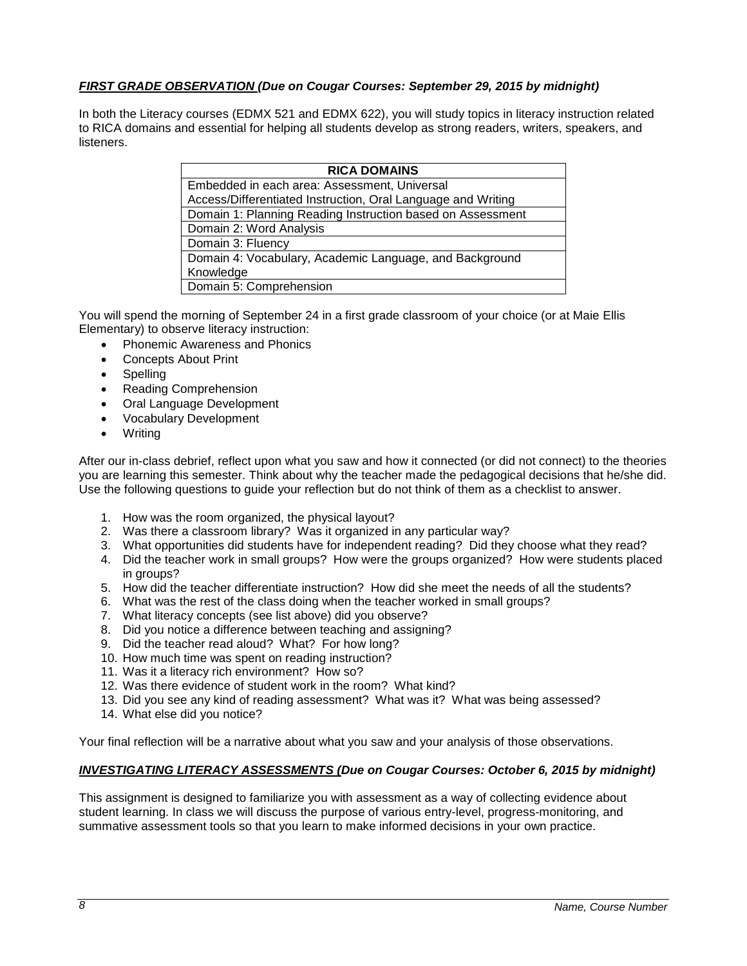# *FIRST GRADE OBSERVATION (Due on Cougar Courses: September 29, 2015 by midnight)*

In both the Literacy courses (EDMX 521 and EDMX 622), you will study topics in literacy instruction related to RICA domains and essential for helping all students develop as strong readers, writers, speakers, and listeners.

| <b>RICA DOMAINS</b>                                          |  |  |  |
|--------------------------------------------------------------|--|--|--|
| Embedded in each area: Assessment, Universal                 |  |  |  |
| Access/Differentiated Instruction, Oral Language and Writing |  |  |  |
| Domain 1: Planning Reading Instruction based on Assessment   |  |  |  |
| Domain 2: Word Analysis                                      |  |  |  |
| Domain 3: Fluency                                            |  |  |  |
| Domain 4: Vocabulary, Academic Language, and Background      |  |  |  |
| Knowledge                                                    |  |  |  |
| Domain 5: Comprehension                                      |  |  |  |

You will spend the morning of September 24 in a first grade classroom of your choice (or at Maie Ellis Elementary) to observe literacy instruction:

- Phonemic Awareness and Phonics
- Concepts About Print
- Spelling
- Reading Comprehension
- Oral Language Development
- Vocabulary Development
- Writing

After our in-class debrief, reflect upon what you saw and how it connected (or did not connect) to the theories you are learning this semester. Think about why the teacher made the pedagogical decisions that he/she did. Use the following questions to guide your reflection but do not think of them as a checklist to answer.

- 1. How was the room organized, the physical layout?
- 2. Was there a classroom library? Was it organized in any particular way?
- 3. What opportunities did students have for independent reading? Did they choose what they read?
- 4. Did the teacher work in small groups? How were the groups organized? How were students placed in groups?
- 5. How did the teacher differentiate instruction? How did she meet the needs of all the students?
- 6. What was the rest of the class doing when the teacher worked in small groups?
- 7. What literacy concepts (see list above) did you observe?
- 8. Did you notice a difference between teaching and assigning?
- 9. Did the teacher read aloud? What? For how long?
- 10. How much time was spent on reading instruction?
- 11. Was it a literacy rich environment? How so?
- 12. Was there evidence of student work in the room? What kind?
- 13. Did you see any kind of reading assessment? What was it? What was being assessed?
- 14. What else did you notice?

Your final reflection will be a narrative about what you saw and your analysis of those observations.

## *INVESTIGATING LITERACY ASSESSMENTS (Due on Cougar Courses: October 6, 2015 by midnight)*

This assignment is designed to familiarize you with assessment as a way of collecting evidence about student learning. In class we will discuss the purpose of various entry-level, progress-monitoring, and summative assessment tools so that you learn to make informed decisions in your own practice.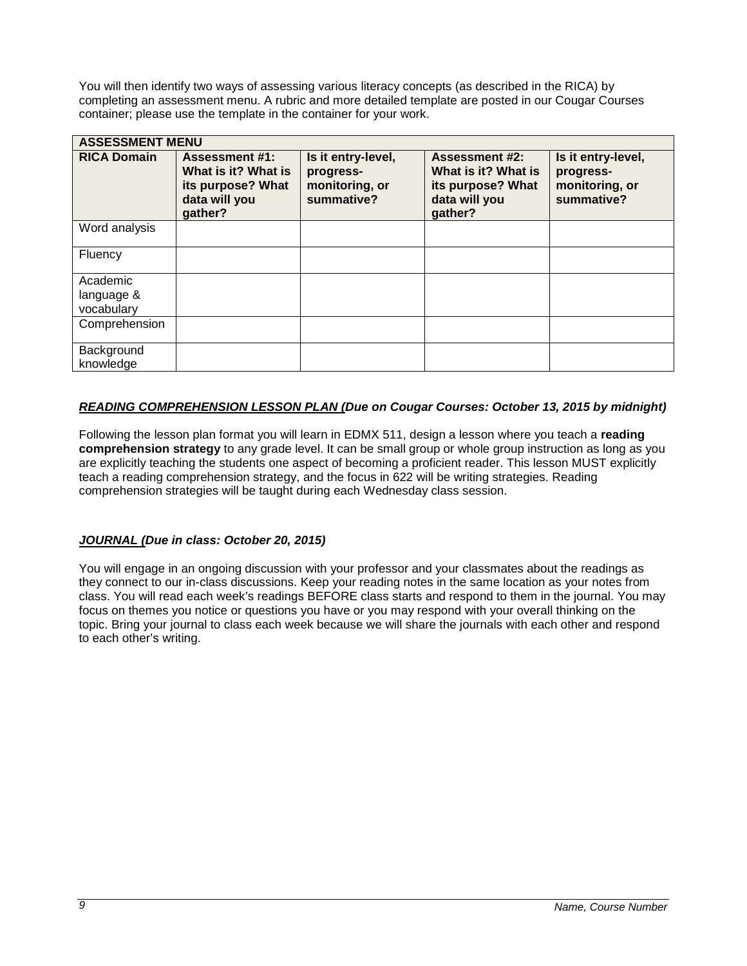You will then identify two ways of assessing various literacy concepts (as described in the RICA) by completing an assessment menu. A rubric and more detailed template are posted in our Cougar Courses container; please use the template in the container for your work.

| <b>ASSESSMENT MENU</b>               |                                                                                               |                                                                 |                                                                                               |                                                                 |
|--------------------------------------|-----------------------------------------------------------------------------------------------|-----------------------------------------------------------------|-----------------------------------------------------------------------------------------------|-----------------------------------------------------------------|
| <b>RICA Domain</b>                   | <b>Assessment #1:</b><br>What is it? What is<br>its purpose? What<br>data will you<br>gather? | Is it entry-level,<br>progress-<br>monitoring, or<br>summative? | <b>Assessment #2:</b><br>What is it? What is<br>its purpose? What<br>data will you<br>gather? | Is it entry-level,<br>progress-<br>monitoring, or<br>summative? |
| Word analysis                        |                                                                                               |                                                                 |                                                                                               |                                                                 |
| Fluency                              |                                                                                               |                                                                 |                                                                                               |                                                                 |
| Academic<br>language &<br>vocabulary |                                                                                               |                                                                 |                                                                                               |                                                                 |
| Comprehension                        |                                                                                               |                                                                 |                                                                                               |                                                                 |
| Background<br>knowledge              |                                                                                               |                                                                 |                                                                                               |                                                                 |

# *READING COMPREHENSION LESSON PLAN (Due on Cougar Courses: October 13, 2015 by midnight)*

Following the lesson plan format you will learn in EDMX 511, design a lesson where you teach a **reading comprehension strategy** to any grade level. It can be small group or whole group instruction as long as you are explicitly teaching the students one aspect of becoming a proficient reader. This lesson MUST explicitly teach a reading comprehension strategy, and the focus in 622 will be writing strategies. Reading comprehension strategies will be taught during each Wednesday class session.

## *JOURNAL (Due in class: October 20, 2015)*

You will engage in an ongoing discussion with your professor and your classmates about the readings as they connect to our in-class discussions. Keep your reading notes in the same location as your notes from class. You will read each week's readings BEFORE class starts and respond to them in the journal. You may focus on themes you notice or questions you have or you may respond with your overall thinking on the topic. Bring your journal to class each week because we will share the journals with each other and respond to each other's writing.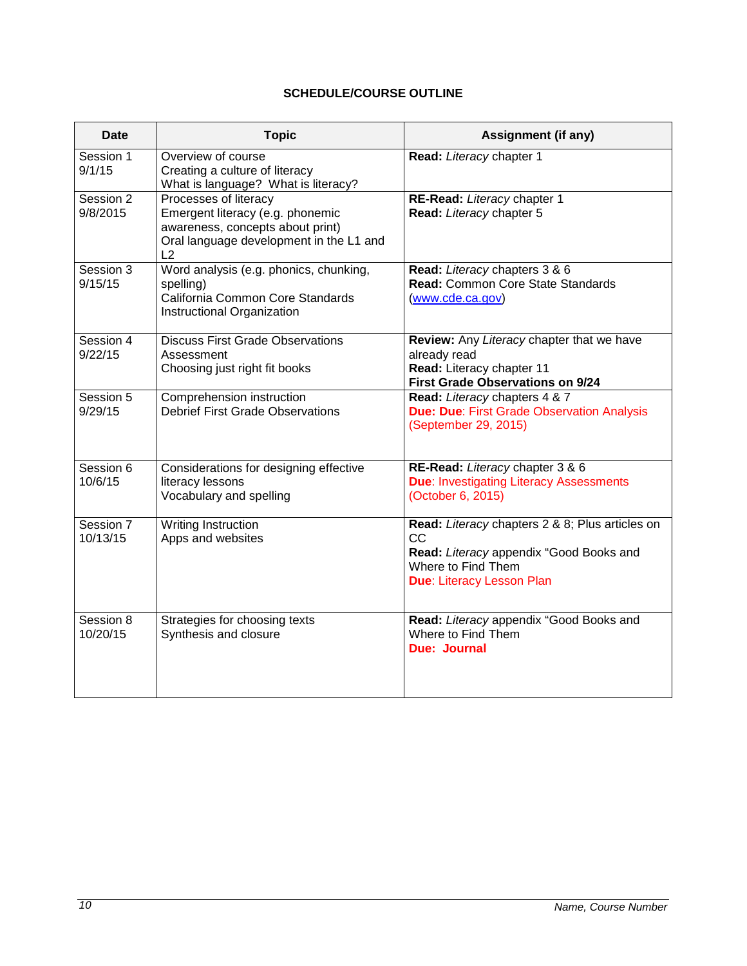# **SCHEDULE/COURSE OUTLINE**

<span id="page-9-0"></span>

| <b>Date</b>           | <b>Topic</b>                                                                                                                                   | <b>Assignment (if any)</b>                                                                                                                                        |  |
|-----------------------|------------------------------------------------------------------------------------------------------------------------------------------------|-------------------------------------------------------------------------------------------------------------------------------------------------------------------|--|
| Session 1<br>9/1/15   | Overview of course<br>Creating a culture of literacy<br>What is language? What is literacy?                                                    | Read: Literacy chapter 1                                                                                                                                          |  |
| Session 2<br>9/8/2015 | Processes of literacy<br>Emergent literacy (e.g. phonemic<br>awareness, concepts about print)<br>Oral language development in the L1 and<br>L2 | RE-Read: Literacy chapter 1<br>Read: Literacy chapter 5                                                                                                           |  |
| Session 3<br>9/15/15  | Word analysis (e.g. phonics, chunking,<br>spelling)<br>California Common Core Standards<br>Instructional Organization                          | Read: Literacy chapters 3 & 6<br><b>Read: Common Core State Standards</b><br>(www.cde.ca.gov)                                                                     |  |
| Session 4<br>9/22/15  | <b>Discuss First Grade Observations</b><br>Assessment<br>Choosing just right fit books                                                         | Review: Any Literacy chapter that we have<br>already read<br>Read: Literacy chapter 11<br><b>First Grade Observations on 9/24</b>                                 |  |
| Session 5<br>9/29/15  | Comprehension instruction<br><b>Debrief First Grade Observations</b>                                                                           | Read: Literacy chapters 4 & 7<br><b>Due: Due: First Grade Observation Analysis</b><br>(September 29, 2015)                                                        |  |
| Session 6<br>10/6/15  | Considerations for designing effective<br>literacy lessons<br>Vocabulary and spelling                                                          | RE-Read: Literacy chapter 3 & 6<br><b>Due: Investigating Literacy Assessments</b><br>(October 6, 2015)                                                            |  |
| Session 7<br>10/13/15 | <b>Writing Instruction</b><br>Apps and websites                                                                                                | Read: Literacy chapters 2 & 8; Plus articles on<br><b>CC</b><br>Read: Literacy appendix "Good Books and<br>Where to Find Them<br><b>Due: Literacy Lesson Plan</b> |  |
| Session 8<br>10/20/15 | Strategies for choosing texts<br>Synthesis and closure                                                                                         | Read: Literacy appendix "Good Books and<br>Where to Find Them<br><b>Due: Journal</b>                                                                              |  |